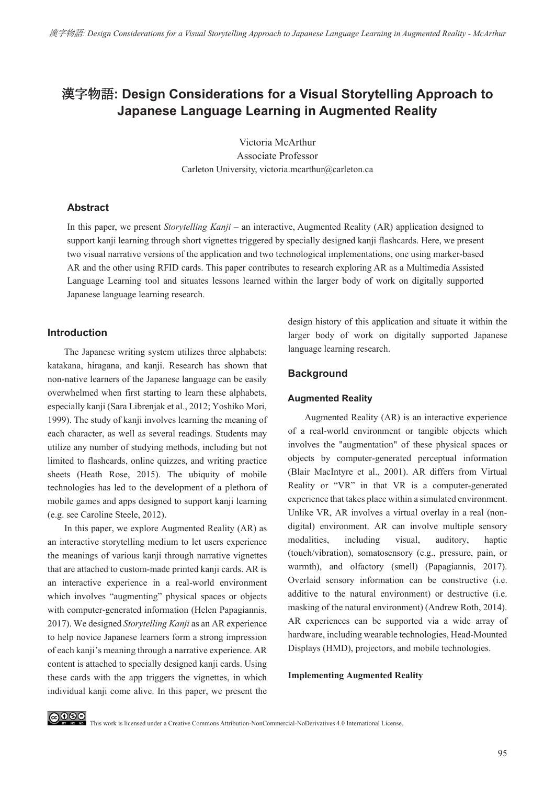# ࣊ޢ**: Design Considerations for a Visual Storytelling Approach to Japanese Language Learning in Augmented Reality**

Victoria McArthur Associate Professor Carleton University, victoria.mcarthur@carleton.ca

#### **Abstract**

In this paper, we present *Storytelling Kanji –* an interactive, Augmented Reality (AR) application designed to support kanji learning through short vignettes triggered by specially designed kanji flashcards. Here, we present two visual narrative versions of the application and two technological implementations, one using marker-based AR and the other using RFID cards. This paper contributes to research exploring AR as a Multimedia Assisted Language Learning tool and situates lessons learned within the larger body of work on digitally supported Japanese language learning research.

# **Introduction**

The Japanese writing system utilizes three alphabets: katakana, hiragana, and kanji. Research has shown that non-native learners of the Japanese language can be easily overwhelmed when first starting to learn these alphabets, especially kanji (Sara Librenjak et al., 2012; Yoshiko Mori, 1999). The study of kanji involves learning the meaning of each character, as well as several readings. Students may utilize any number of studying methods, including but not limited to flashcards, online quizzes, and writing practice sheets (Heath Rose, 2015). The ubiquity of mobile technologies has led to the development of a plethora of mobile games and apps designed to support kanji learning (e.g. see Caroline Steele, 2012).

In this paper, we explore Augmented Reality (AR) as an interactive storytelling medium to let users experience the meanings of various kanji through narrative vignettes that are attached to custom-made printed kanji cards. AR is an interactive experience in a real-world environment which involves "augmenting" physical spaces or objects with computer-generated information (Helen Papagiannis, 2017). We designed *Storytelling Kanji* as an AR experience to help novice Japanese learners form a strong impression of each kanji's meaning through a narrative experience. AR content is attached to specially designed kanji cards. Using these cards with the app triggers the vignettes, in which individual kanji come alive. In this paper, we present the design history of this application and situate it within the larger body of work on digitally supported Japanese language learning research.

# **Background**

# **Augmented Reality**

Augmented Reality (AR) is an interactive experience of a real-world environment or tangible objects which involves the "augmentation" of these physical spaces or objects by computer-generated perceptual information (Blair MacIntyre et al., 2001). AR differs from Virtual Reality or "VR" in that VR is a computer-generated experience that takes place within a simulated environment. Unlike VR, AR involves a virtual overlay in a real (nondigital) environment. AR can involve multiple sensory modalities, including visual, auditory, haptic (touch/vibration), somatosensory (e.g., pressure, pain, or warmth), and olfactory (smell) (Papagiannis, 2017). Overlaid sensory information can be constructive (i.e. additive to the natural environment) or destructive (i.e. masking of the natural environment) (Andrew Roth, 2014). AR experiences can be supported via a wide array of hardware, including wearable technologies, Head-Mounted Displays (HMD), projectors, and mobile technologies.

#### **Implementing Augmented Reality**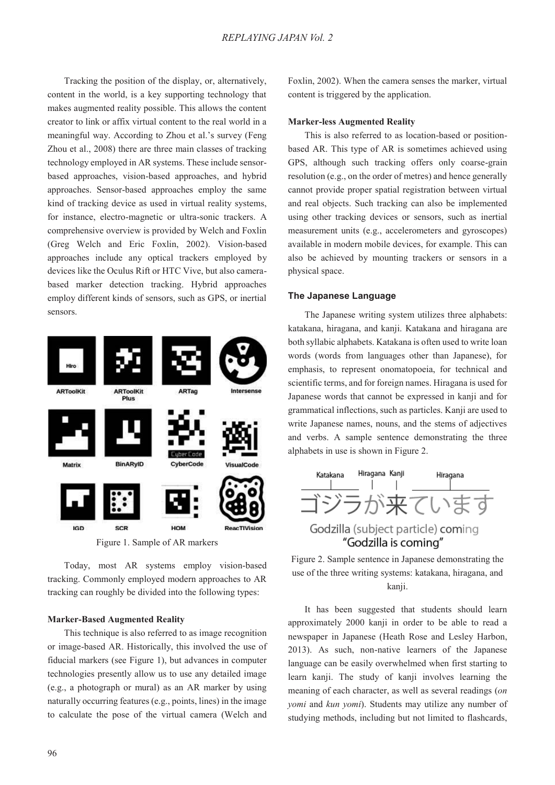Tracking the position of the display, or, alternatively, content in the world, is a key supporting technology that makes augmented reality possible. This allows the content creator to link or affix virtual content to the real world in a meaningful way. According to Zhou et al.'s survey (Feng Zhou et al., 2008) there are three main classes of tracking technology employed in AR systems. These include sensorbased approaches, vision-based approaches, and hybrid approaches. Sensor-based approaches employ the same kind of tracking device as used in virtual reality systems, for instance, electro-magnetic or ultra-sonic trackers. A comprehensive overview is provided by Welch and Foxlin (Greg Welch and Eric Foxlin, 2002). Vision-based approaches include any optical trackers employed by devices like the Oculus Rift or HTC Vive, but also camerabased marker detection tracking. Hybrid approaches employ different kinds of sensors, such as GPS, or inertial sensors.



Figure 1. Sample of AR markers

Today, most AR systems employ vision-based tracking. Commonly employed modern approaches to AR tracking can roughly be divided into the following types:

#### **Marker-Based Augmented Reality**

This technique is also referred to as image recognition or image-based AR. Historically, this involved the use of fiducial markers (see Figure 1), but advances in computer technologies presently allow us to use any detailed image (e.g., a photograph or mural) as an AR marker by using naturally occurring features (e.g., points, lines) in the image to calculate the pose of the virtual camera (Welch and

Foxlin, 2002). When the camera senses the marker, virtual content is triggered by the application.

#### **Marker-less Augmented Reality**

This is also referred to as location-based or positionbased AR. This type of AR is sometimes achieved using GPS, although such tracking offers only coarse-grain resolution (e.g., on the order of metres) and hence generally cannot provide proper spatial registration between virtual and real objects. Such tracking can also be implemented using other tracking devices or sensors, such as inertial measurement units (e.g., accelerometers and gyroscopes) available in modern mobile devices, for example. This can also be achieved by mounting trackers or sensors in a physical space.

#### **The Japanese Language**

The Japanese writing system utilizes three alphabets: katakana, hiragana, and kanji. Katakana and hiragana are both syllabic alphabets. Katakana is often used to write loan words (words from languages other than Japanese), for emphasis, to represent onomatopoeia, for technical and scientific terms, and for foreign names. Hiragana is used for Japanese words that cannot be expressed in kanji and for grammatical inflections, such as particles. Kanji are used to write Japanese names, nouns, and the stems of adjectives and verbs. A sample sentence demonstrating the three alphabets in use is shown in Figure 2.





It has been suggested that students should learn approximately 2000 kanji in order to be able to read a newspaper in Japanese (Heath Rose and Lesley Harbon, 2013). As such, non-native learners of the Japanese language can be easily overwhelmed when first starting to learn kanji. The study of kanji involves learning the meaning of each character, as well as several readings (*on yomi* and *kun yomi*). Students may utilize any number of studying methods, including but not limited to flashcards,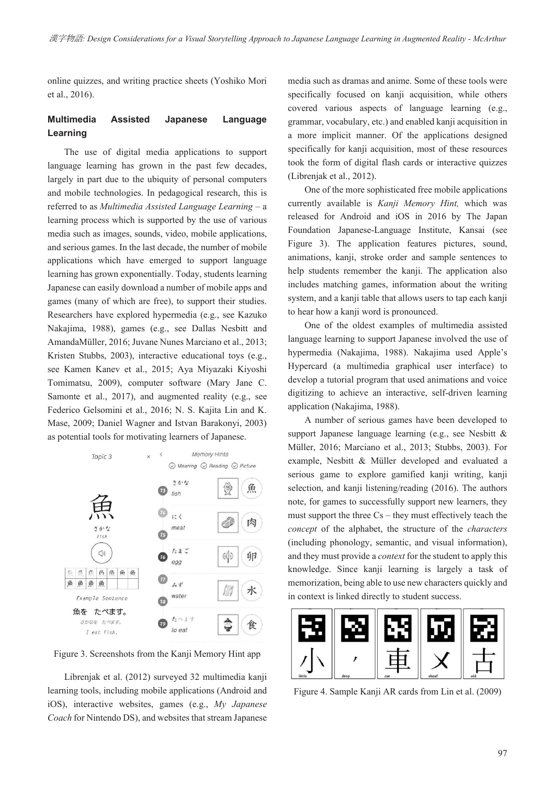online quizzes, and writing practice sheets (Yoshiko Mori et al., 2016).

# **Multimedia Assisted Japanese Language Learning**

The use of digital media applications to support language learning has grown in the past few decades, largely in part due to the ubiquity of personal computers and mobile technologies. In pedagogical research, this is referred to as *Multimedia Assisted Language Learning –* a learning process which is supported by the use of various media such as images, sounds, video, mobile applications, and serious games. In the last decade, the number of mobile applications which have emerged to support language learning has grown exponentially. Today, students learning Japanese can easily download a number of mobile apps and games (many of which are free), to support their studies. Researchers have explored hypermedia (e.g., see Kazuko Nakajima, 1988), games (e.g., see Dallas Nesbitt and AmandaMüller, 2016; Juvane Nunes Marciano et al., 2013; Kristen Stubbs, 2003), interactive educational toys (e.g., see Kamen Kanev et al., 2015; Aya Miyazaki Kiyoshi Tomimatsu, 2009), computer software (Mary Jane C. Samonte et al., 2017), and augmented reality (e.g., see Federico Gelsomini et al., 2016; N. S. Kajita Lin and K. Mase, 2009; Daniel Wagner and Istvan Barakonyi, 2003) as potential tools for motivating learners of Japanese.



Figure 3. Screenshots from the Kanji Memory Hint app

Librenjak et al. (2012) surveyed 32 multimedia kanji learning tools, including mobile applications (Android and iOS), interactive websites, games (e.g., *My Japanese Coach* for Nintendo DS), and websites that stream Japanese media such as dramas and anime. Some of these tools were specifically focused on kanji acquisition, while others covered various aspects of language learning (e.g., grammar, vocabulary, etc.) and enabled kanji acquisition in a more implicit manner. Of the applications designed specifically for kanji acquisition, most of these resources took the form of digital flash cards or interactive quizzes (Librenjak et al., 2012).

One of the more sophisticated free mobile applications currently available is *Kanji Memory Hint,* which was released for Android and iOS in 2016 by The Japan Foundation Japanese-Language Institute, Kansai (see Figure 3). The application features pictures, sound, animations, kanji, stroke order and sample sentences to help students remember the kanji. The application also includes matching games, information about the writing system, and a kanji table that allows users to tap each kanji to hear how a kanji word is pronounced.

One of the oldest examples of multimedia assisted language learning to support Japanese involved the use of hypermedia (Nakajima, 1988). Nakajima used Apple's Hypercard (a multimedia graphical user interface) to develop a tutorial program that used animations and voice digitizing to achieve an interactive, self-driven learning application (Nakajima, 1988).

A number of serious games have been developed to support Japanese language learning (e.g., see Nesbitt & Müller, 2016; Marciano et al., 2013; Stubbs, 2003). For example, Nesbitt & Müller developed and evaluated a serious game to explore gamified kanji writing, kanji selection, and kanji listening/reading (2016). The authors note, for games to successfully support new learners, they must support the three Cs – they must effectively teach the *concept* of the alphabet, the structure of the *characters* (including phonology, semantic, and visual information), and they must provide a *context* for the student to apply this knowledge. Since kanji learning is largely a task of memorization, being able to use new characters quickly and in context is linked directly to student success.



Figure 4. Sample Kanji AR cards from Lin et al. (2009)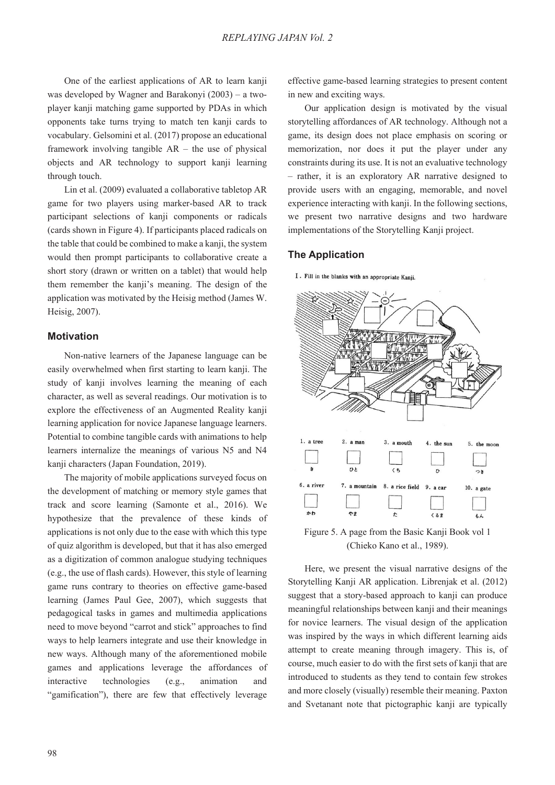One of the earliest applications of AR to learn kanji was developed by Wagner and Barakonyi (2003) – a twoplayer kanji matching game supported by PDAs in which opponents take turns trying to match ten kanji cards to vocabulary. Gelsomini et al. (2017) propose an educational framework involving tangible AR – the use of physical objects and AR technology to support kanji learning through touch.

Lin et al. (2009) evaluated a collaborative tabletop AR game for two players using marker-based AR to track participant selections of kanji components or radicals (cards shown in Figure 4). If participants placed radicals on the table that could be combined to make a kanji, the system would then prompt participants to collaborative create a short story (drawn or written on a tablet) that would help them remember the kanji's meaning. The design of the application was motivated by the Heisig method (James W. Heisig, 2007).

## **Motivation**

Non-native learners of the Japanese language can be easily overwhelmed when first starting to learn kanji. The study of kanji involves learning the meaning of each character, as well as several readings. Our motivation is to explore the effectiveness of an Augmented Reality kanji learning application for novice Japanese language learners. Potential to combine tangible cards with animations to help learners internalize the meanings of various N5 and N4 kanji characters (Japan Foundation, 2019).

The majority of mobile applications surveyed focus on the development of matching or memory style games that track and score learning (Samonte et al., 2016). We hypothesize that the prevalence of these kinds of applications is not only due to the ease with which this type of quiz algorithm is developed, but that it has also emerged as a digitization of common analogue studying techniques (e.g., the use of flash cards). However, this style of learning game runs contrary to theories on effective game-based learning (James Paul Gee, 2007), which suggests that pedagogical tasks in games and multimedia applications need to move beyond "carrot and stick" approaches to find ways to help learners integrate and use their knowledge in new ways. Although many of the aforementioned mobile games and applications leverage the affordances of interactive technologies (e.g., animation and "gamification"), there are few that effectively leverage

effective game-based learning strategies to present content in new and exciting ways.

Our application design is motivated by the visual storytelling affordances of AR technology. Although not a game, its design does not place emphasis on scoring or memorization, nor does it put the player under any constraints during its use. It is not an evaluative technology – rather, it is an exploratory AR narrative designed to provide users with an engaging, memorable, and novel experience interacting with kanji. In the following sections, we present two narrative designs and two hardware implementations of the Storytelling Kanji project.

#### **The Application**

I. Fill in the blanks with an appropriate Kanji.



Figure 5. A page from the Basic Kanji Book vol 1 (Chieko Kano et al., 1989).

Here, we present the visual narrative designs of the Storytelling Kanji AR application. Librenjak et al. (2012) suggest that a story-based approach to kanji can produce meaningful relationships between kanji and their meanings for novice learners. The visual design of the application was inspired by the ways in which different learning aids attempt to create meaning through imagery. This is, of course, much easier to do with the first sets of kanji that are introduced to students as they tend to contain few strokes and more closely (visually) resemble their meaning. Paxton and Svetanant note that pictographic kanji are typically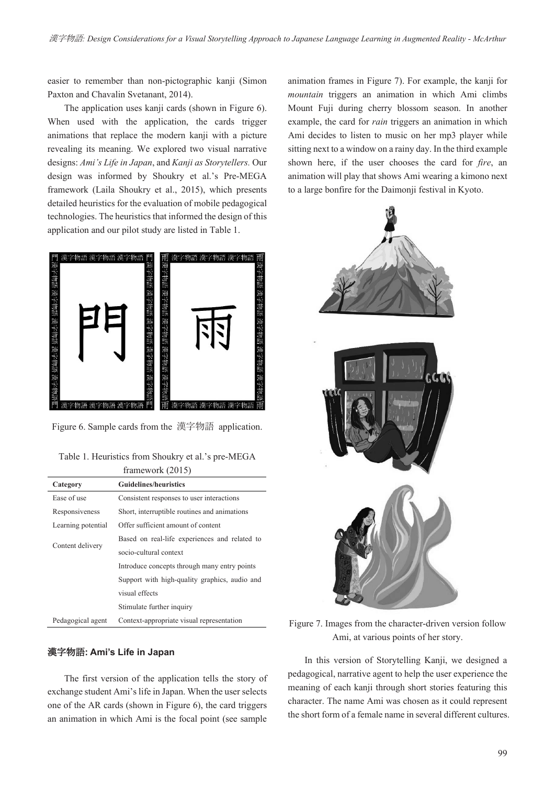easier to remember than non-pictographic kanji (Simon Paxton and Chavalin Svetanant, 2014).

The application uses kanji cards (shown in Figure 6). When used with the application, the cards trigger animations that replace the modern kanji with a picture revealing its meaning. We explored two visual narrative designs: *Ami's Life in Japan*, and *Kanji as Storytellers.* Our design was informed by Shoukry et al.'s Pre-MEGA framework (Laila Shoukry et al., 2015), which presents detailed heuristics for the evaluation of mobile pedagogical technologies. The heuristics that informed the design of this application and our pilot study are listed in Table 1.



Figure 6. Sample cards from the 漢字物語 application.

Table 1. Heuristics from Shoukry et al.'s pre-MEGA framework (2015)

| $11$ will $\vee$ $\vee$ $\vee$ $\vee$ $\vee$ $\vee$ $\vee$ $\vee$ |                                               |  |  |  |
|-------------------------------------------------------------------|-----------------------------------------------|--|--|--|
| Category                                                          | <b>Guidelines/heuristics</b>                  |  |  |  |
| Ease of use                                                       | Consistent responses to user interactions     |  |  |  |
| Responsiveness                                                    | Short, interruptible routines and animations  |  |  |  |
| Learning potential                                                | Offer sufficient amount of content            |  |  |  |
|                                                                   | Based on real-life experiences and related to |  |  |  |
| Content delivery                                                  | socio-cultural context                        |  |  |  |
|                                                                   | Introduce concepts through many entry points  |  |  |  |
|                                                                   | Support with high-quality graphics, audio and |  |  |  |
|                                                                   | visual effects                                |  |  |  |
|                                                                   | Stimulate further inquiry                     |  |  |  |
| Pedagogical agent                                                 | Context-appropriate visual representation     |  |  |  |

# ࣊ޢ**: Ami's Life in Japan**

The first version of the application tells the story of exchange student Ami's life in Japan. When the user selects one of the AR cards (shown in Figure 6), the card triggers an animation in which Ami is the focal point (see sample

animation frames in Figure 7). For example, the kanji for *mountain* triggers an animation in which Ami climbs Mount Fuji during cherry blossom season. In another example, the card for *rain* triggers an animation in which Ami decides to listen to music on her mp3 player while sitting next to a window on a rainy day. In the third example shown here, if the user chooses the card for *fire*, an animation will play that shows Ami wearing a kimono next to a large bonfire for the Daimonji festival in Kyoto.



Figure 7. Images from the character-driven version follow Ami, at various points of her story.

In this version of Storytelling Kanji, we designed a pedagogical, narrative agent to help the user experience the meaning of each kanji through short stories featuring this character. The name Ami was chosen as it could represent the short form of a female name in several different cultures.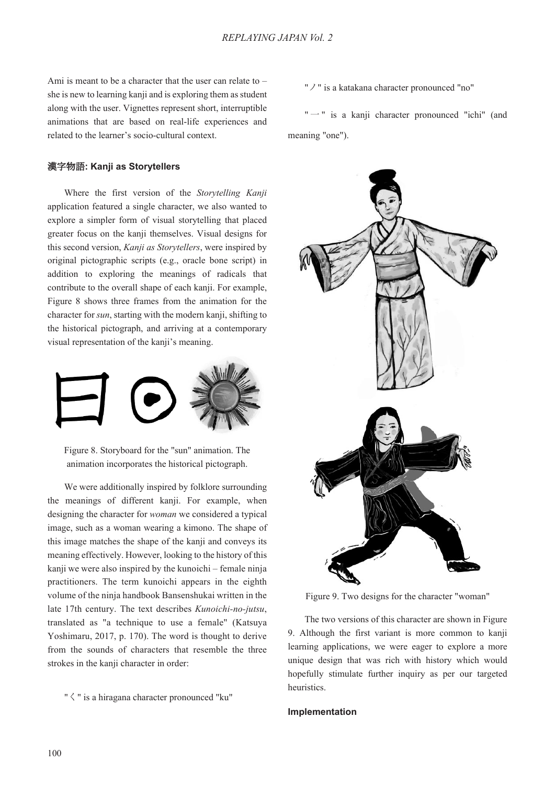Ami is meant to be a character that the user can relate to – she is new to learning kanji and is exploring them as student along with the user. Vignettes represent short, interruptible animations that are based on real-life experiences and related to the learner's socio-cultural context.

# ࣊ޢ**: Kanji as Storytellers**

Where the first version of the *Storytelling Kanji* application featured a single character, we also wanted to explore a simpler form of visual storytelling that placed greater focus on the kanji themselves. Visual designs for this second version, *Kanji as Storytellers*, were inspired by original pictographic scripts (e.g., oracle bone script) in addition to exploring the meanings of radicals that contribute to the overall shape of each kanji. For example, Figure 8 shows three frames from the animation for the character for *sun*, starting with the modern kanji, shifting to the historical pictograph, and arriving at a contemporary visual representation of the kanji's meaning.



Figure 8. Storyboard for the "sun" animation. The animation incorporates the historical pictograph.

We were additionally inspired by folklore surrounding the meanings of different kanji. For example, when designing the character for *woman* we considered a typical image, such as a woman wearing a kimono. The shape of this image matches the shape of the kanji and conveys its meaning effectively. However, looking to the history of this kanji we were also inspired by the kunoichi – female ninja practitioners. The term kunoichi appears in the eighth volume of the ninja handbook Bansenshukai written in the late 17th century. The text describes *Kunoichi-no-jutsu*, translated as "a technique to use a female" (Katsuya Yoshimaru, 2017, p. 170). The word is thought to derive from the sounds of characters that resemble the three strokes in the kanji character in order:

"  $\leq$  " is a hiragana character pronounced "ku"

"  $\vee$  " is a katakana character pronounced "no"

" $-$ " is a kanji character pronounced "ichi" (and meaning "one").



Figure 9. Two designs for the character "woman"

The two versions of this character are shown in Figure 9. Although the first variant is more common to kanji learning applications, we were eager to explore a more unique design that was rich with history which would hopefully stimulate further inquiry as per our targeted heuristics.

#### **Implementation**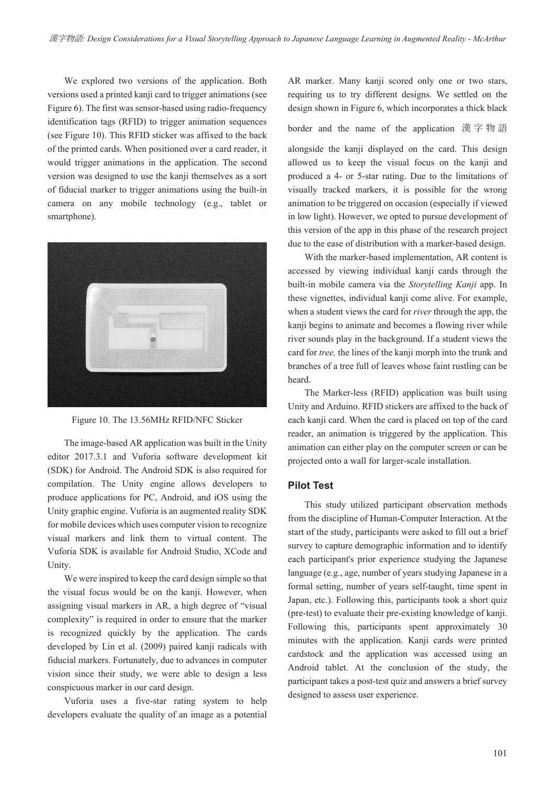We explored two versions of the application. Both versions used a printed kanji card to trigger animations (see Figure 6). The first was sensor-based using radio-frequency identification tags (RFID) to trigger animation sequences (see Figure 10). This RFID sticker was affixed to the back of the printed cards. When positioned over a card reader, it would trigger animations in the application. The second version was designed to use the kanji themselves as a sort of fiducial marker to trigger animations using the built-in camera on any mobile technology (e.g., tablet or smartphone).



Figure 10. The 13.56MHz RFID/NFC Sticker

The image-based AR application was built in the Unity editor 2017.3.1 and Vuforia software development kit (SDK) for Android. The Android SDK is also required for compilation. The Unity engine allows developers to produce applications for PC, Android, and iOS using the Unity graphic engine. Vuforia is an augmented reality SDK for mobile devices which uses computer vision to recognize visual markers and link them to virtual content. The Vuforia SDK is available for Android Studio, XCode and Unity.

We were inspired to keep the card design simple so that the visual focus would be on the kanji. However, when assigning visual markers in AR, a high degree of "visual complexity" is required in order to ensure that the marker is recognized quickly by the application. The cards developed by Lin et al. (2009) paired kanji radicals with fiducial markers. Fortunately, due to advances in computer vision since their study, we were able to design a less conspicuous marker in our card design.

Vuforia uses a five-star rating system to help developers evaluate the quality of an image as a potential AR marker. Many kanji scored only one or two stars, requiring us to try different designs. We settled on the design shown in Figure 6, which incorporates a thick black

border and the name of the application 漢字物語

alongside the kanji displayed on the card. This design allowed us to keep the visual focus on the kanji and produced a 4- or 5-star rating. Due to the limitations of visually tracked markers, it is possible for the wrong animation to be triggered on occasion (especially if viewed in low light). However, we opted to pursue development of this version of the app in this phase of the research project due to the ease of distribution with a marker-based design.

With the marker-based implementation, AR content is accessed by viewing individual kanji cards through the built-in mobile camera via the *Storytelling Kanji* app. In these vignettes, individual kanji come alive. For example, when a student views the card for *river* through the app, the kanji begins to animate and becomes a flowing river while river sounds play in the background. If a student views the card for *tree,* the lines of the kanji morph into the trunk and branches of a tree full of leaves whose faint rustling can be heard.

The Marker-less (RFID) application was built using Unity and Arduino. RFID stickers are affixed to the back of each kanji card. When the card is placed on top of the card reader, an animation is triggered by the application. This animation can either play on the computer screen or can be projected onto a wall for larger-scale installation.

# **Pilot Test**

This study utilized participant observation methods from the discipline of Human-Computer Interaction. At the start of the study, participants were asked to fill out a brief survey to capture demographic information and to identify each participant's prior experience studying the Japanese language (e.g., age, number of years studying Japanese in a formal setting, number of years self-taught, time spent in Japan, etc.). Following this, participants took a short quiz (pre-test) to evaluate their pre-existing knowledge of kanji. Following this, participants spent approximately 30 minutes with the application. Kanji cards were printed cardstock and the application was accessed using an Android tablet. At the conclusion of the study, the participant takes a post-test quiz and answers a brief survey designed to assess user experience.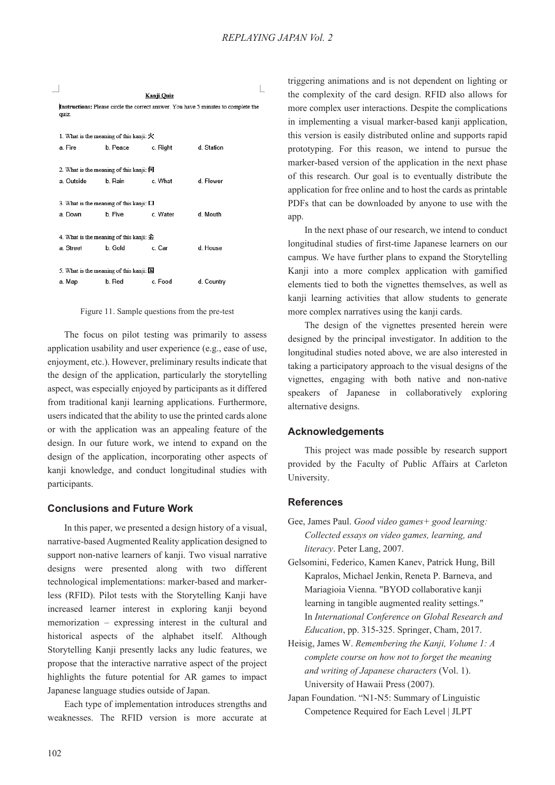| Kanji Quiz<br>Instructions: Please circle the correct answer. You have 5 minutes to complete the<br>quiz. |                                              |                                                            |          |            |  |  |
|-----------------------------------------------------------------------------------------------------------|----------------------------------------------|------------------------------------------------------------|----------|------------|--|--|
|                                                                                                           | 1. What is the meaning of this kanji: $\chi$ |                                                            |          |            |  |  |
|                                                                                                           | a. Fire                                      | b. Peace                                                   | c. Right | d. Station |  |  |
|                                                                                                           | a. Outside                                   | 2. What is the meaning of this kanji: 何<br>b Rain          | c What   | d Flower   |  |  |
|                                                                                                           | 3. What is the meaning of this kanji: $\Box$ |                                                            |          |            |  |  |
|                                                                                                           | a. Down                                      | b Five                                                     | c Water  | d Mouth    |  |  |
|                                                                                                           | a. Street                                    | 4. What is the meaning of this kanji: $\hat{x}$<br>b. Gold | c Car    | d House    |  |  |
|                                                                                                           | 5. What is the meaning of this kanji: 国      |                                                            |          |            |  |  |
|                                                                                                           | a. Map                                       | b. Red                                                     | c Food   | d. Country |  |  |
|                                                                                                           |                                              |                                                            |          |            |  |  |

Figure 11. Sample questions from the pre-test

The focus on pilot testing was primarily to assess application usability and user experience (e.g., ease of use, enjoyment, etc.). However, preliminary results indicate that the design of the application, particularly the storytelling aspect, was especially enjoyed by participants as it differed from traditional kanji learning applications. Furthermore, users indicated that the ability to use the printed cards alone or with the application was an appealing feature of the design. In our future work, we intend to expand on the design of the application, incorporating other aspects of kanji knowledge, and conduct longitudinal studies with participants.

# **Conclusions and Future Work**

In this paper, we presented a design history of a visual, narrative-based Augmented Reality application designed to support non-native learners of kanji. Two visual narrative designs were presented along with two different technological implementations: marker-based and markerless (RFID). Pilot tests with the Storytelling Kanji have increased learner interest in exploring kanji beyond memorization – expressing interest in the cultural and historical aspects of the alphabet itself. Although Storytelling Kanji presently lacks any ludic features, we propose that the interactive narrative aspect of the project highlights the future potential for AR games to impact Japanese language studies outside of Japan.

Each type of implementation introduces strengths and weaknesses. The RFID version is more accurate at

triggering animations and is not dependent on lighting or the complexity of the card design. RFID also allows for more complex user interactions. Despite the complications in implementing a visual marker-based kanji application, this version is easily distributed online and supports rapid prototyping. For this reason, we intend to pursue the marker-based version of the application in the next phase of this research. Our goal is to eventually distribute the application for free online and to host the cards as printable PDFs that can be downloaded by anyone to use with the app.

In the next phase of our research, we intend to conduct longitudinal studies of first-time Japanese learners on our campus. We have further plans to expand the Storytelling Kanji into a more complex application with gamified elements tied to both the vignettes themselves, as well as kanji learning activities that allow students to generate more complex narratives using the kanji cards.

The design of the vignettes presented herein were designed by the principal investigator. In addition to the longitudinal studies noted above, we are also interested in taking a participatory approach to the visual designs of the vignettes, engaging with both native and non-native speakers of Japanese in collaboratively exploring alternative designs.

## **Acknowledgements**

This project was made possible by research support provided by the Faculty of Public Affairs at Carleton University.

#### **References**

- Gee, James Paul. *Good video games+ good learning: Collected essays on video games, learning, and literacy*. Peter Lang, 2007.
- Gelsomini, Federico, Kamen Kanev, Patrick Hung, Bill Kapralos, Michael Jenkin, Reneta P. Barneva, and Mariagioia Vienna. "BYOD collaborative kanji learning in tangible augmented reality settings." In *International Conference on Global Research and Education*, pp. 315-325. Springer, Cham, 2017.
- Heisig, James W. *Remembering the Kanji, Volume 1: A complete course on how not to forget the meaning and writing of Japanese characters* (Vol. 1). University of Hawaii Press (2007).
- Japan Foundation. "N1-N5: Summary of Linguistic Competence Required for Each Level | JLPT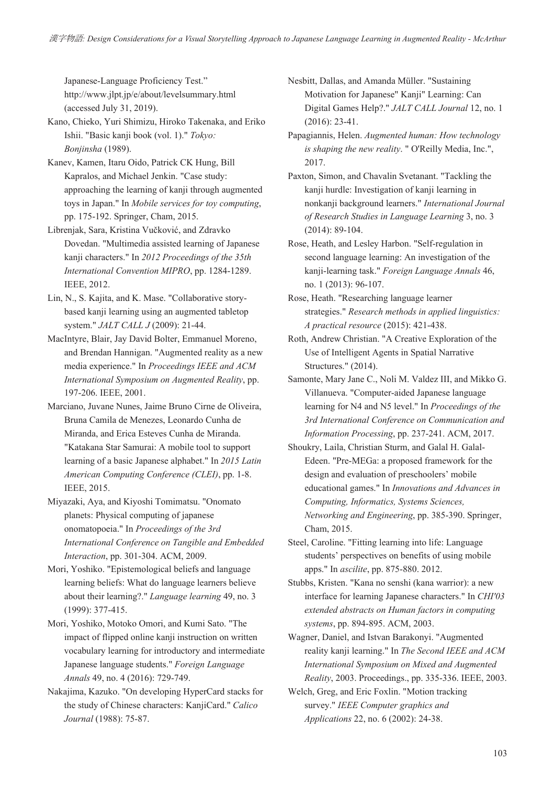Japanese-Language Proficiency Test." http://www.jlpt.jp/e/about/levelsummary.html (accessed July 31, 2019).

- Kano, Chieko, Yuri Shimizu, Hiroko Takenaka, and Eriko Ishii. "Basic kanji book (vol. 1)." *Tokyo: Bonjinsha* (1989).
- Kanev, Kamen, Itaru Oido, Patrick CK Hung, Bill Kapralos, and Michael Jenkin. "Case study: approaching the learning of kanji through augmented toys in Japan." In *Mobile services for toy computing*, pp. 175-192. Springer, Cham, 2015.
- Librenjak, Sara, Kristina Vučković, and Zdravko Dovedan. "Multimedia assisted learning of Japanese kanji characters." In *2012 Proceedings of the 35th International Convention MIPRO*, pp. 1284-1289. IEEE, 2012.
- Lin, N., S. Kajita, and K. Mase. "Collaborative storybased kanji learning using an augmented tabletop system." *JALT CALL J* (2009): 21-44.
- MacIntyre, Blair, Jay David Bolter, Emmanuel Moreno, and Brendan Hannigan. "Augmented reality as a new media experience." In *Proceedings IEEE and ACM International Symposium on Augmented Reality*, pp. 197-206. IEEE, 2001.
- Marciano, Juvane Nunes, Jaime Bruno Cirne de Oliveira, Bruna Camila de Menezes, Leonardo Cunha de Miranda, and Erica Esteves Cunha de Miranda. "Katakana Star Samurai: A mobile tool to support learning of a basic Japanese alphabet." In *2015 Latin American Computing Conference (CLEI)*, pp. 1-8. IEEE, 2015.
- Miyazaki, Aya, and Kiyoshi Tomimatsu. "Onomato planets: Physical computing of japanese onomatopoeia." In *Proceedings of the 3rd International Conference on Tangible and Embedded Interaction*, pp. 301-304. ACM, 2009.
- Mori, Yoshiko. "Epistemological beliefs and language learning beliefs: What do language learners believe about their learning?." *Language learning* 49, no. 3 (1999): 377-415.
- Mori, Yoshiko, Motoko Omori, and Kumi Sato. "The impact of flipped online kanji instruction on written vocabulary learning for introductory and intermediate Japanese language students." *Foreign Language Annals* 49, no. 4 (2016): 729-749.
- Nakajima, Kazuko. "On developing HyperCard stacks for the study of Chinese characters: KanjiCard." *Calico Journal* (1988): 75-87.

Nesbitt, Dallas, and Amanda Müller. "Sustaining Motivation for Japanese" Kanji" Learning: Can Digital Games Help?." *JALT CALL Journal* 12, no. 1 (2016): 23-41.

- Papagiannis, Helen. *Augmented human: How technology is shaping the new reality*. " O'Reilly Media, Inc.", 2017.
- Paxton, Simon, and Chavalin Svetanant. "Tackling the kanji hurdle: Investigation of kanji learning in nonkanji background learners." *International Journal of Research Studies in Language Learning* 3, no. 3 (2014): 89-104.
- Rose, Heath, and Lesley Harbon. "Self-regulation in second language learning: An investigation of the kanji-learning task." *Foreign Language Annals* 46, no. 1 (2013): 96-107.
- Rose, Heath. "Researching language learner strategies." *Research methods in applied linguistics: A practical resource* (2015): 421-438.
- Roth, Andrew Christian. "A Creative Exploration of the Use of Intelligent Agents in Spatial Narrative Structures." (2014).
- Samonte, Mary Jane C., Noli M. Valdez III, and Mikko G. Villanueva. "Computer-aided Japanese language learning for N4 and N5 level." In *Proceedings of the 3rd International Conference on Communication and Information Processing*, pp. 237-241. ACM, 2017.
- Shoukry, Laila, Christian Sturm, and Galal H. Galal-Edeen. "Pre-MEGa: a proposed framework for the design and evaluation of preschoolers' mobile educational games." In *Innovations and Advances in Computing, Informatics, Systems Sciences, Networking and Engineering*, pp. 385-390. Springer, Cham, 2015.
- Steel, Caroline. "Fitting learning into life: Language students' perspectives on benefits of using mobile apps." In *ascilite*, pp. 875-880. 2012.
- Stubbs, Kristen. "Kana no senshi (kana warrior): a new interface for learning Japanese characters." In *CHI'03 extended abstracts on Human factors in computing systems*, pp. 894-895. ACM, 2003.
- Wagner, Daniel, and Istvan Barakonyi. "Augmented reality kanji learning." In *The Second IEEE and ACM International Symposium on Mixed and Augmented Reality*, 2003. Proceedings., pp. 335-336. IEEE, 2003.
- Welch, Greg, and Eric Foxlin. "Motion tracking survey." *IEEE Computer graphics and Applications* 22, no. 6 (2002): 24-38.